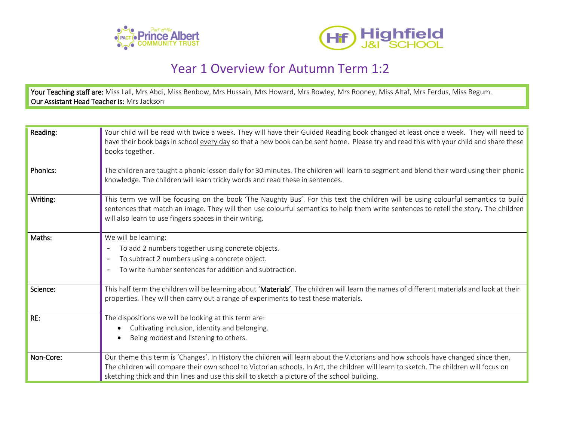



## Year 1 Overview for Autumn Term 1:2

Your Teaching staff are: Miss Lall, Mrs Abdi, Miss Benbow, Mrs Hussain, Mrs Howard, Mrs Rowley, Mrs Rooney, Miss Altaf, Mrs Ferdus, Miss Begum. Our Assistant Head Teacher is: Mrs Jackson

| Reading:  | Your child will be read with twice a week. They will have their Guided Reading book changed at least once a week. They will need to<br>have their book bags in school every day so that a new book can be sent home. Please try and read this with your child and share these<br>books together.                                                                              |
|-----------|-------------------------------------------------------------------------------------------------------------------------------------------------------------------------------------------------------------------------------------------------------------------------------------------------------------------------------------------------------------------------------|
| Phonics:  | The children are taught a phonic lesson daily for 30 minutes. The children will learn to segment and blend their word using their phonic<br>knowledge. The children will learn tricky words and read these in sentences.                                                                                                                                                      |
| Writing:  | This term we will be focusing on the book 'The Naughty Bus'. For this text the children will be using colourful semantics to build<br>sentences that match an image. They will then use colourful semantics to help them write sentences to retell the story. The children<br>will also learn to use fingers spaces in their writing.                                         |
| Maths:    | We will be learning:<br>To add 2 numbers together using concrete objects.<br>To subtract 2 numbers using a concrete object.<br>To write number sentences for addition and subtraction.                                                                                                                                                                                        |
| Science:  | This half term the children will be learning about 'Materials'. The children will learn the names of different materials and look at their<br>properties. They will then carry out a range of experiments to test these materials.                                                                                                                                            |
| RE:       | The dispositions we will be looking at this term are:<br>Cultivating inclusion, identity and belonging.<br>Being modest and listening to others.                                                                                                                                                                                                                              |
| Non-Core: | Our theme this term is 'Changes'. In History the children will learn about the Victorians and how schools have changed since then.<br>The children will compare their own school to Victorian schools. In Art, the children will learn to sketch. The children will focus on<br>sketching thick and thin lines and use this skill to sketch a picture of the school building. |